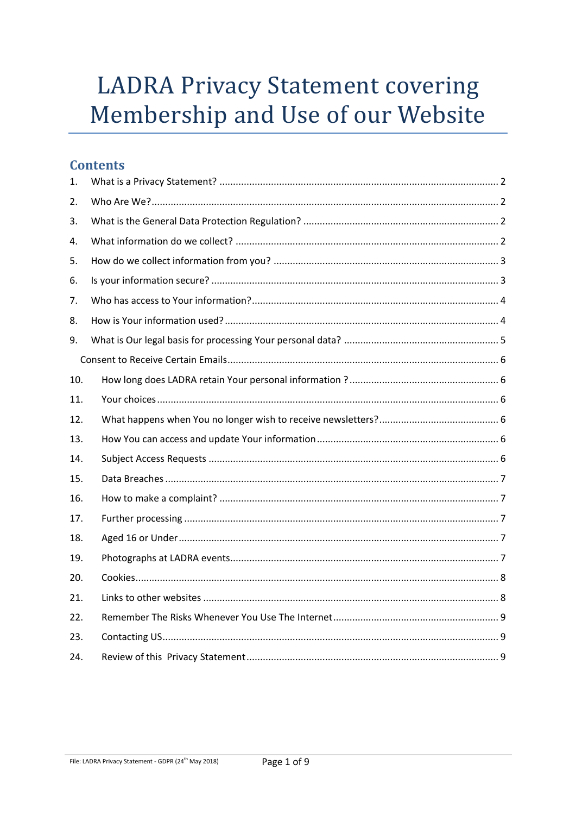# **LADRA Privacy Statement covering** Membership and Use of our Website

# **Contents**

| 1.  |  |
|-----|--|
| 2.  |  |
| 3.  |  |
| 4.  |  |
| 5.  |  |
| 6.  |  |
| 7.  |  |
| 8.  |  |
| 9.  |  |
|     |  |
| 10. |  |
| 11. |  |
| 12. |  |
| 13. |  |
| 14. |  |
| 15. |  |
| 16. |  |
| 17. |  |
| 18. |  |
| 19. |  |
| 20. |  |
| 21. |  |
| 22. |  |
| 23. |  |
| 24. |  |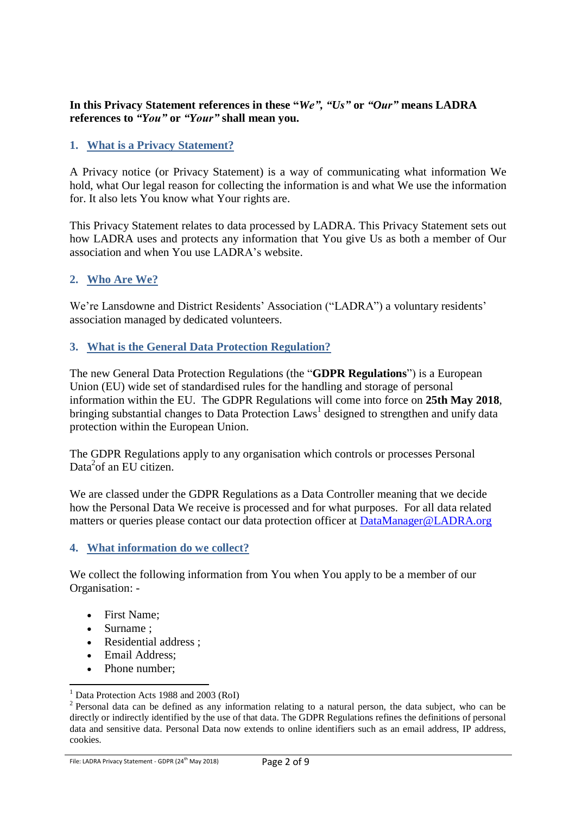#### **In this Privacy Statement references in these "***We", "Us"* **or** *"Our"* **means LADRA references to** *"You"* **or** *"Your"* **shall mean you.**

#### <span id="page-1-0"></span>**1. What is a Privacy Statement?**

A Privacy notice (or Privacy Statement) is a way of communicating what information We hold, what Our legal reason for collecting the information is and what We use the information for. It also lets You know what Your rights are.

This Privacy Statement relates to data processed by LADRA. This Privacy Statement sets out how LADRA uses and protects any information that You give Us as both a member of Our association and when You use LADRA's website.

#### <span id="page-1-1"></span>**2. Who Are We?**

We're Lansdowne and District Residents' Association ("LADRA") a voluntary residents' association managed by dedicated volunteers.

#### <span id="page-1-2"></span>**3. What is the General Data Protection Regulation?**

The new General Data Protection Regulations (the "**GDPR Regulations**") is a European Union (EU) wide set of standardised rules for the handling and storage of personal information within the EU. The GDPR Regulations will come into force on **25th May 2018**, bringing substantial changes to Data Protection Laws<sup>1</sup> designed to strengthen and unify data protection within the European Union.

The GDPR Regulations apply to any organisation which controls or processes Personal Data<sup>2</sup>of an EU citizen.

We are classed under the GDPR Regulations as a Data Controller meaning that we decide how the Personal Data We receive is processed and for what purposes. For all data related matters or queries please contact our data protection officer at [DataManager@LADRA.org](mailto:DataManager@LADRA.org)

#### <span id="page-1-3"></span>**4. What information do we collect?**

We collect the following information from You when You apply to be a member of our Organisation: -

- First Name;
- Surname ;

1

- Residential address :
- Email Address:
- Phone number:

File: LADRA Privacy Statement - GDPR (24<sup>th</sup> May 2018)

Data Protection Acts 1988 and 2003 (RoI)

 $2$  Personal data can be defined as any information relating to a natural person, the data subject, who can be directly or indirectly identified by the use of that data. The GDPR Regulations refines the definitions of personal data and sensitive data. Personal Data now extends to online identifiers such as an email address, IP address, cookies.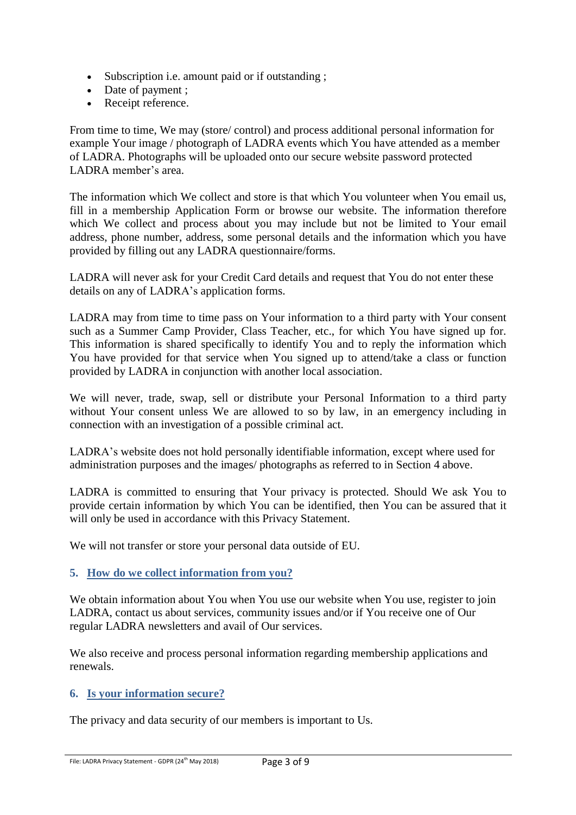- Subscription i.e. amount paid or if outstanding ;
- Date of payment ;
- Receipt reference.

From time to time, We may (store/ control) and process additional personal information for example Your image / photograph of LADRA events which You have attended as a member of LADRA. Photographs will be uploaded onto our secure website password protected LADRA member's area.

The information which We collect and store is that which You volunteer when You email us, fill in a membership Application Form or browse our website. The information therefore which We collect and process about you may include but not be limited to Your email address, phone number, address, some personal details and the information which you have provided by filling out any LADRA questionnaire/forms.

LADRA will never ask for your Credit Card details and request that You do not enter these details on any of LADRA's application forms.

LADRA may from time to time pass on Your information to a third party with Your consent such as a Summer Camp Provider, Class Teacher, etc., for which You have signed up for. This information is shared specifically to identify You and to reply the information which You have provided for that service when You signed up to attend/take a class or function provided by LADRA in conjunction with another local association.

We will never, trade, swap, sell or distribute your Personal Information to a third party without Your consent unless We are allowed to so by law, in an emergency including in connection with an investigation of a possible criminal act.

LADRA's website does not hold personally identifiable information, except where used for administration purposes and the images/ photographs as referred to in Section 4 above.

LADRA is committed to ensuring that Your privacy is protected. Should We ask You to provide certain information by which You can be identified, then You can be assured that it will only be used in accordance with this Privacy Statement.

We will not transfer or store your personal data outside of EU.

#### <span id="page-2-0"></span>**5. How do we collect information from you?**

We obtain information about You when You use our website when You use, register to join LADRA, contact us about services, community issues and/or if You receive one of Our regular LADRA newsletters and avail of Our services.

We also receive and process personal information regarding membership applications and renewals.

# <span id="page-2-1"></span>**6. Is your information secure?**

The privacy and data security of our members is important to Us.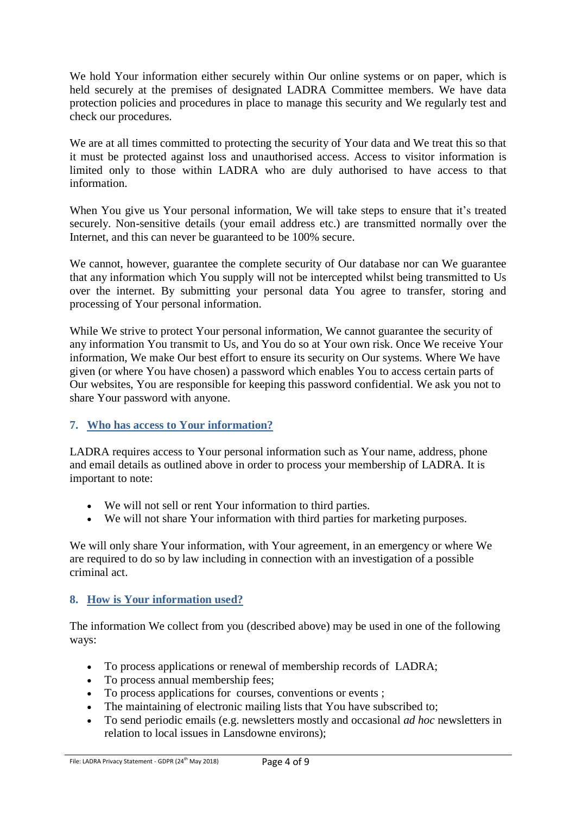We hold Your information either securely within Our online systems or on paper, which is held securely at the premises of designated LADRA Committee members. We have data protection policies and procedures in place to manage this security and We regularly test and check our procedures.

We are at all times committed to protecting the security of Your data and We treat this so that it must be protected against loss and unauthorised access. Access to visitor information is limited only to those within LADRA who are duly authorised to have access to that information.

When You give us Your personal information, We will take steps to ensure that it's treated securely. Non-sensitive details (your email address etc.) are transmitted normally over the Internet, and this can never be guaranteed to be 100% secure.

We cannot, however, guarantee the complete security of Our database nor can We guarantee that any information which You supply will not be intercepted whilst being transmitted to Us over the internet. By submitting your personal data You agree to transfer, storing and processing of Your personal information.

While We strive to protect Your personal information, We cannot guarantee the security of any information You transmit to Us, and You do so at Your own risk. Once We receive Your information, We make Our best effort to ensure its security on Our systems. Where We have given (or where You have chosen) a password which enables You to access certain parts of Our websites, You are responsible for keeping this password confidential. We ask you not to share Your password with anyone.

#### <span id="page-3-0"></span>**7. Who has access to Your information?**

LADRA requires access to Your personal information such as Your name, address, phone and email details as outlined above in order to process your membership of LADRA. It is important to note:

- We will not sell or rent Your information to third parties.
- We will not share Your information with third parties for marketing purposes.

We will only share Your information, with Your agreement, in an emergency or where We are required to do so by law including in connection with an investigation of a possible criminal act.

#### <span id="page-3-1"></span>**8. How is Your information used?**

The information We collect from you (described above) may be used in one of the following ways:

- To process applications or renewal of membership records of LADRA;
- To process annual membership fees;
- To process applications for courses, conventions or events;
- The maintaining of electronic mailing lists that You have subscribed to;
- To send periodic emails (e.g. newsletters mostly and occasional *ad hoc* newsletters in relation to local issues in Lansdowne environs);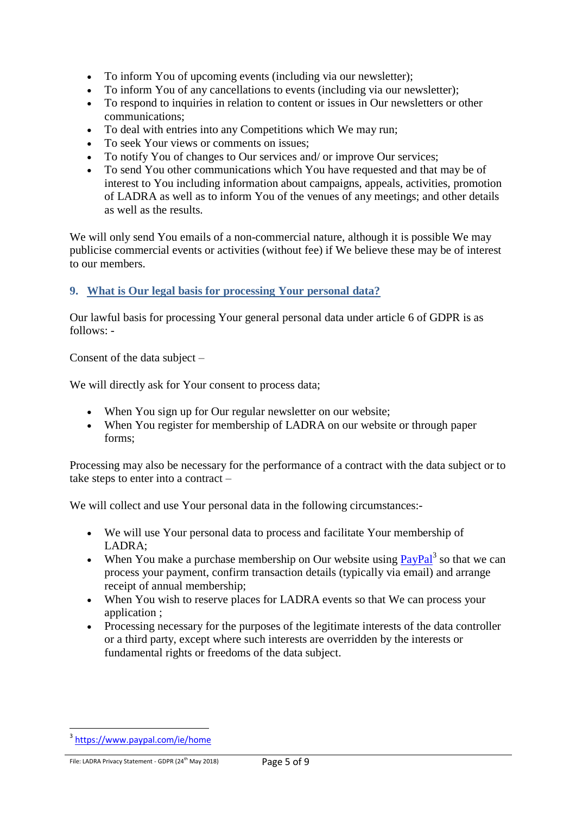- To inform You of upcoming events (including via our newsletter);
- To inform You of any cancellations to events (including via our newsletter);
- To respond to inquiries in relation to content or issues in Our newsletters or other communications;
- To deal with entries into any Competitions which We may run;
- To seek Your views or comments on issues;
- To notify You of changes to Our services and/ or improve Our services;
- To send You other communications which You have requested and that may be of interest to You including information about campaigns, appeals, activities, promotion of LADRA as well as to inform You of the venues of any meetings; and other details as well as the results.

We will only send You emails of a non-commercial nature, although it is possible We may publicise commercial events or activities (without fee) if We believe these may be of interest to our members.

# <span id="page-4-0"></span>**9. What is Our legal basis for processing Your personal data?**

Our lawful basis for processing Your general personal data under article 6 of GDPR is as follows: -

Consent of the data subject –

We will directly ask for Your consent to process data;

- When You sign up for Our regular newsletter on our website;
- When You register for membership of LADRA on our website or through paper forms;

Processing may also be necessary for the performance of a contract with the data subject or to take steps to enter into a contract –

We will collect and use Your personal data in the following circumstances:-

- We will use Your personal data to process and facilitate Your membership of LADRA;
- When You make a purchase membership on Our website using  $\frac{PayPal}{?}$  $\frac{PayPal}{?}$  $\frac{PayPal}{?}$  so that we can process your payment, confirm transaction details (typically via email) and arrange receipt of annual membership;
- When You wish to reserve places for LADRA events so that We can process your application ;
- Processing necessary for the purposes of the legitimate interests of the data controller or a third party, except where such interests are overridden by the interests or fundamental rights or freedoms of the data subject.

1

<sup>&</sup>lt;sup>3</sup> <https://www.paypal.com/ie/home>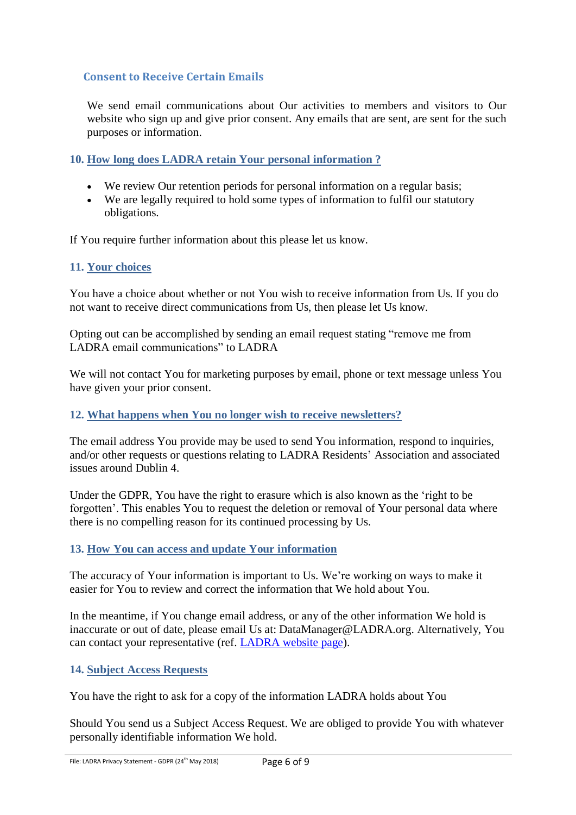# <span id="page-5-0"></span>**Consent to Receive Certain Emails**

We send email communications about Our activities to members and visitors to Our website who sign up and give prior consent. Any emails that are sent, are sent for the such purposes or information.

<span id="page-5-1"></span>**10. How long does LADRA retain Your personal information ?**

- We review Our retention periods for personal information on a regular basis;
- We are legally required to hold some types of information to fulfil our statutory obligations.

If You require further information about this please let us know.

#### <span id="page-5-2"></span>**11. Your choices**

You have a choice about whether or not You wish to receive information from Us. If you do not want to receive direct communications from Us, then please let Us know.

Opting out can be accomplished by sending an email request stating "remove me from LADRA email communications" to LADRA

We will not contact You for marketing purposes by email, phone or text message unless You have given your prior consent.

#### <span id="page-5-3"></span>**12. What happens when You no longer wish to receive newsletters?**

The email address You provide may be used to send You information, respond to inquiries, and/or other requests or questions relating to LADRA Residents' Association and associated issues around Dublin 4.

Under the GDPR, You have the right to erasure which is also known as the 'right to be forgotten'. This enables You to request the deletion or removal of Your personal data where there is no compelling reason for its continued processing by Us.

#### <span id="page-5-4"></span>**13. How You can access and update Your information**

The accuracy of Your information is important to Us. We're working on ways to make it easier for You to review and correct the information that We hold about You.

In the meantime, if You change email address, or any of the other information We hold is inaccurate or out of date, please email Us at: DataManager@LADRA.org. Alternatively, You can contact your representative (ref. [LADRA](mailto:http://ladra.org/?page_id=5) website page).

#### <span id="page-5-5"></span>**14. Subject Access Requests**

You have the right to ask for a copy of the information LADRA holds about You

Should You send us a Subject Access Request. We are obliged to provide You with whatever personally identifiable information We hold.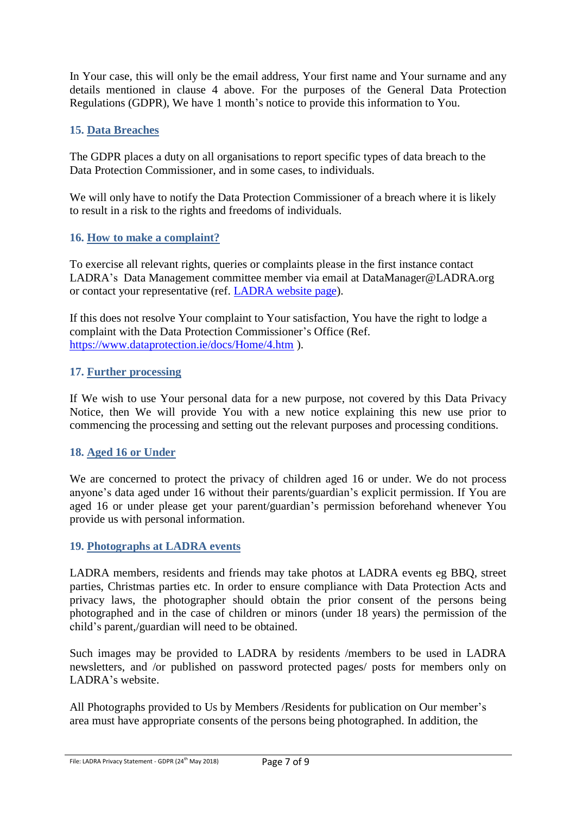In Your case, this will only be the email address, Your first name and Your surname and any details mentioned in clause 4 above. For the purposes of the General Data Protection Regulations (GDPR), We have 1 month's notice to provide this information to You.

# <span id="page-6-0"></span>**15. Data Breaches**

The GDPR places a duty on all organisations to report specific types of data breach to the Data Protection Commissioner, and in some cases, to individuals.

We will only have to notify the Data Protection Commissioner of a breach where it is likely to result in a risk to the rights and freedoms of individuals.

# <span id="page-6-1"></span>**16. How to make a complaint?**

To exercise all relevant rights, queries or complaints please in the first instance contact LADRA's Data Management committee member via email at DataManager@LADRA.org or contact your representative (ref. [LADRA](mailto:http://ladra.org/?page_id=5) website page).

If this does not resolve Your complaint to Your satisfaction, You have the right to lodge a complaint with the Data Protection Commissioner's Office (Ref. <https://www.dataprotection.ie/docs/Home/4.htm> ).

#### <span id="page-6-2"></span>**17. Further processing**

If We wish to use Your personal data for a new purpose, not covered by this Data Privacy Notice, then We will provide You with a new notice explaining this new use prior to commencing the processing and setting out the relevant purposes and processing conditions.

#### <span id="page-6-3"></span>**18. Aged 16 or Under**

We are concerned to protect the privacy of children aged 16 or under. We do not process anyone's data aged under 16 without their parents/guardian's explicit permission. If You are aged 16 or under please get your parent/guardian's permission beforehand whenever You provide us with personal information.

#### <span id="page-6-4"></span>**19. Photographs at LADRA events**

LADRA members, residents and friends may take photos at LADRA events eg BBQ, street parties, Christmas parties etc. In order to ensure compliance with Data Protection Acts and privacy laws, the photographer should obtain the prior consent of the persons being photographed and in the case of children or minors (under 18 years) the permission of the child's parent,/guardian will need to be obtained.

Such images may be provided to LADRA by residents /members to be used in LADRA newsletters, and /or published on password protected pages/ posts for members only on LADRA's website.

All Photographs provided to Us by Members /Residents for publication on Our member's area must have appropriate consents of the persons being photographed. In addition, the

File: LADRA Privacy Statement - GDPR (24<sup>th</sup> May 2018)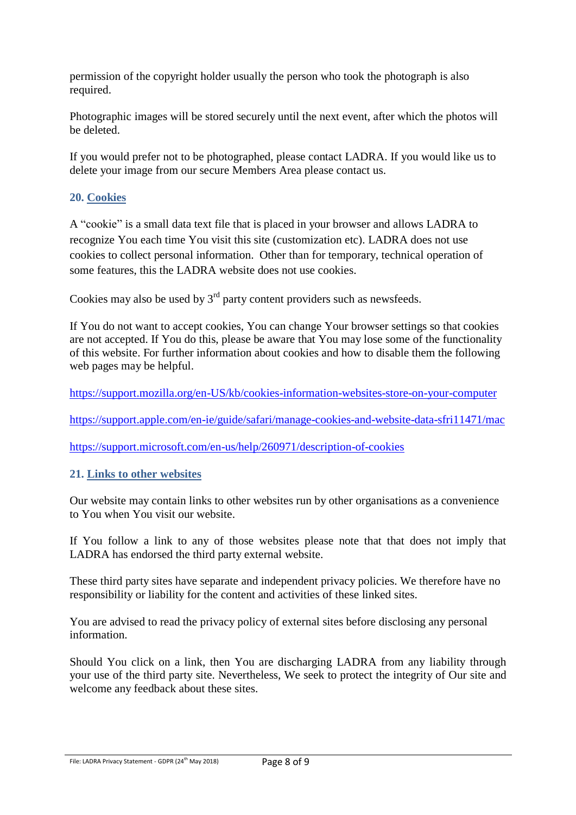permission of the copyright holder usually the person who took the photograph is also required.

Photographic images will be stored securely until the next event, after which the photos will be deleted.

If you would prefer not to be photographed, please contact LADRA. If you would like us to delete your image from our secure Members Area please contact us.

# <span id="page-7-0"></span>**20. Cookies**

A "cookie" is a small data text file that is placed in your browser and allows LADRA to recognize You each time You visit this site (customization etc). LADRA does not use cookies to collect personal information. Other than for temporary, technical operation of some features, this the LADRA website does not use cookies.

Cookies may also be used by  $3<sup>rd</sup>$  party content providers such as newsfeeds.

If You do not want to accept cookies, You can change Your browser settings so that cookies are not accepted. If You do this, please be aware that You may lose some of the functionality of this website. For further information about cookies and how to disable them the following web pages may be helpful.

<https://support.mozilla.org/en-US/kb/cookies-information-websites-store-on-your-computer>

<https://support.apple.com/en-ie/guide/safari/manage-cookies-and-website-data-sfri11471/mac>

<https://support.microsoft.com/en-us/help/260971/description-of-cookies>

#### <span id="page-7-1"></span>**21. Links to other websites**

Our website may contain links to other websites run by other organisations as a convenience to You when You visit our website.

If You follow a link to any of those websites please note that that does not imply that LADRA has endorsed the third party external website.

These third party sites have separate and independent privacy policies. We therefore have no responsibility or liability for the content and activities of these linked sites.

You are advised to read the privacy policy of external sites before disclosing any personal information.

Should You click on a link, then You are discharging LADRA from any liability through your use of the third party site. Nevertheless, We seek to protect the integrity of Our site and welcome any feedback about these sites.

File: LADRA Privacy Statement - GDPR (24<sup>th</sup> May 2018)